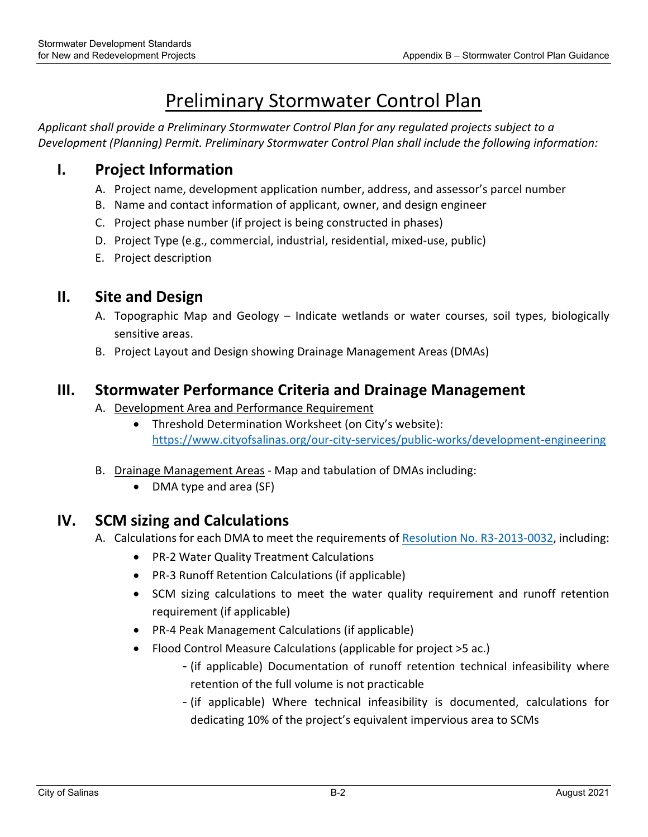# Preliminary Stormwater Control Plan

*Applicant shall provide a Preliminary Stormwater Control Plan for any regulated projects subject to a Development (Planning) Permit. Preliminary Stormwater Control Plan shall include the following information:*

### **I. Project Information**

- A. Project name, development application number, address, and assessor's parcel number
- B. Name and contact information of applicant, owner, and design engineer
- C. Project phase number (if project is being constructed in phases)
- D. Project Type (e.g., commercial, industrial, residential, mixed-use, public)
- E. Project description

#### **II. Site and Design**

- A. Topographic Map and Geology Indicate wetlands or water courses, soil types, biologically sensitive areas.
- B. Project Layout and Design showing Drainage Management Areas (DMAs)

#### **III. Stormwater Performance Criteria and Drainage Management**

- A. Development Area and Performance Requirement
	- Threshold Determination Worksheet (on City's website): https://www.cityofsalinas.org/our‐city‐services/public‐works/development‐engineering
- B. Drainage Management Areas ‐ Map and tabulation of DMAs including:
	- DMA type and area (SF)

#### **IV. SCM sizing and Calculations**

- A. Calculations for each DMA to meet the requirements of Resolution No. R3‐2013‐0032, including:
	- PR-2 Water Quality Treatment Calculations
	- PR-3 Runoff Retention Calculations (if applicable)
	- SCM sizing calculations to meet the water quality requirement and runoff retention requirement (if applicable)
	- PR-4 Peak Management Calculations (if applicable)
	- Flood Control Measure Calculations (applicable for project >5 ac.)
		- -(if applicable) Documentation of runoff retention technical infeasibility where retention of the full volume is not practicable
		- -(if applicable) Where technical infeasibility is documented, calculations for dedicating 10% of the project's equivalent impervious area to SCMs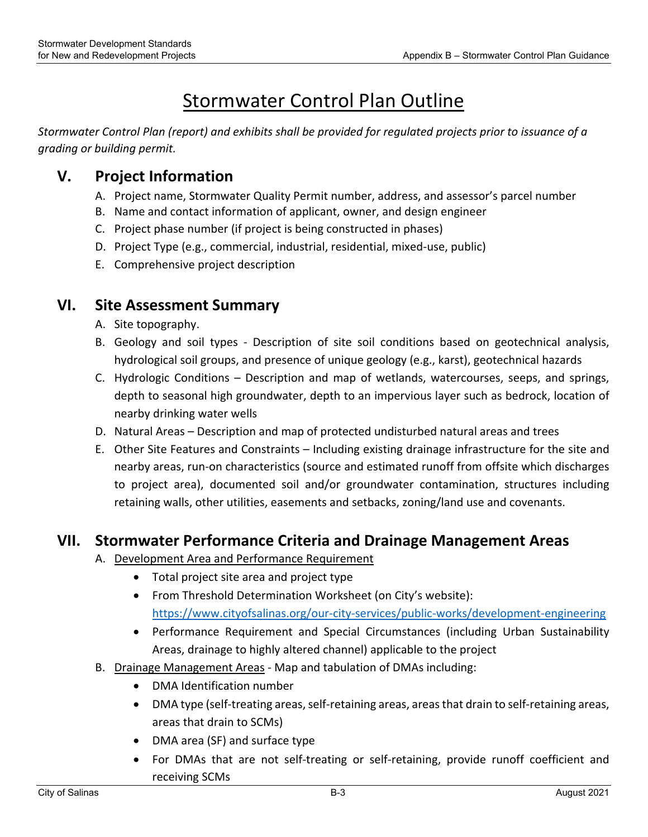# Stormwater Control Plan Outline

*Stormwater Control Plan (report) and exhibits shall be provided for regulated projects prior to issuance of a grading or building permit.* 

### **V. Project Information**

- A. Project name, Stormwater Quality Permit number, address, and assessor's parcel number
- B. Name and contact information of applicant, owner, and design engineer
- C. Project phase number (if project is being constructed in phases)
- D. Project Type (e.g., commercial, industrial, residential, mixed‐use, public)
- E. Comprehensive project description

#### **VI. Site Assessment Summary**

- A. Site topography.
- B. Geology and soil types Description of site soil conditions based on geotechnical analysis, hydrological soil groups, and presence of unique geology (e.g., karst), geotechnical hazards
- C. Hydrologic Conditions Description and map of wetlands, watercourses, seeps, and springs, depth to seasonal high groundwater, depth to an impervious layer such as bedrock, location of nearby drinking water wells
- D. Natural Areas Description and map of protected undisturbed natural areas and trees
- E. Other Site Features and Constraints Including existing drainage infrastructure for the site and nearby areas, run‐on characteristics (source and estimated runoff from offsite which discharges to project area), documented soil and/or groundwater contamination, structures including retaining walls, other utilities, easements and setbacks, zoning/land use and covenants.

#### **VII. Stormwater Performance Criteria and Drainage Management Areas**

- A. Development Area and Performance Requirement
	- Total project site area and project type
	- From Threshold Determination Worksheet (on City's website): https://www.cityofsalinas.org/our‐city‐services/public‐works/development‐engineering
	- Performance Requirement and Special Circumstances (including Urban Sustainability Areas, drainage to highly altered channel) applicable to the project
- B. Drainage Management Areas ‐ Map and tabulation of DMAs including:
	- DMA Identification number
	- DMA type (self-treating areas, self-retaining areas, areas that drain to self-retaining areas, areas that drain to SCMs)
	- DMA area (SF) and surface type
	- For DMAs that are not self-treating or self-retaining, provide runoff coefficient and receiving SCMs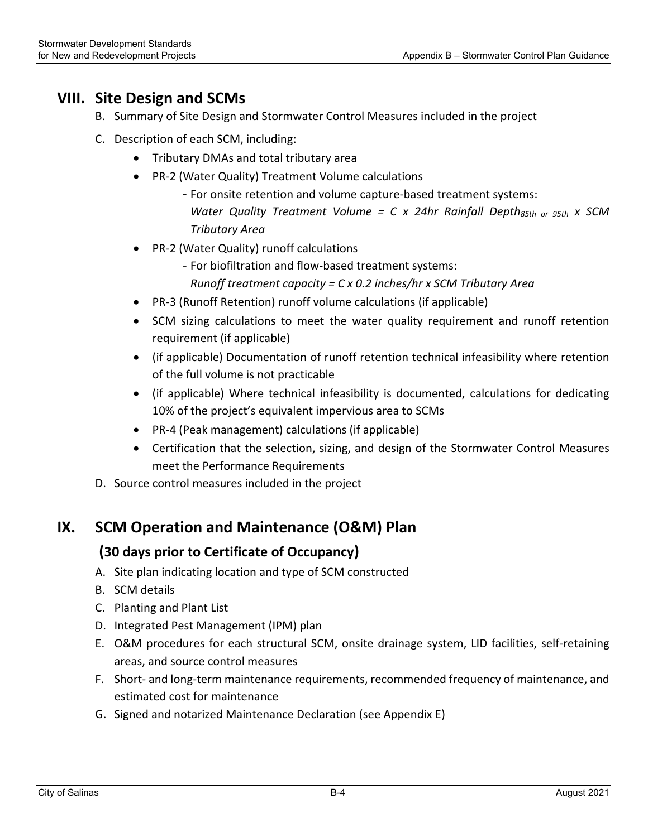#### **VIII. Site Design and SCMs**

- B. Summary of Site Design and Stormwater Control Measures included in the project
- C. Description of each SCM, including:
	- Tributary DMAs and total tributary area
	- PR-2 (Water Quality) Treatment Volume calculations
		- For onsite retention and volume capture‐based treatment systems:
			- *Water Quality Treatment Volume =*  $C \times 24$ *hr Rainfall Depth<sub>85th or 95th*  $\times$  *SCM*</sub> *Tributary Area*
	- PR-2 (Water Quality) runoff calculations
		- -For biofiltration and flow‐based treatment systems:
			- *Runoff treatment capacity = C x 0.2 inches/hr x SCM Tributary Area*
	- PR-3 (Runoff Retention) runoff volume calculations (if applicable)
	- SCM sizing calculations to meet the water quality requirement and runoff retention requirement (if applicable)
	- (if applicable) Documentation of runoff retention technical infeasibility where retention of the full volume is not practicable
	- (if applicable) Where technical infeasibility is documented, calculations for dedicating 10% of the project's equivalent impervious area to SCMs
	- PR-4 (Peak management) calculations (if applicable)
	- Certification that the selection, sizing, and design of the Stormwater Control Measures meet the Performance Requirements
- D. Source control measures included in the project

#### **IX. SCM Operation and Maintenance (O&M) Plan**

#### **(30 days prior to Certificate of Occupancy)**

- A. Site plan indicating location and type of SCM constructed
- B. SCM details
- C. Planting and Plant List
- D. Integrated Pest Management (IPM) plan
- E. O&M procedures for each structural SCM, onsite drainage system, LID facilities, self‐retaining areas, and source control measures
- F. Short‐ and long‐term maintenance requirements, recommended frequency of maintenance, and estimated cost for maintenance
- G. Signed and notarized Maintenance Declaration (see Appendix E)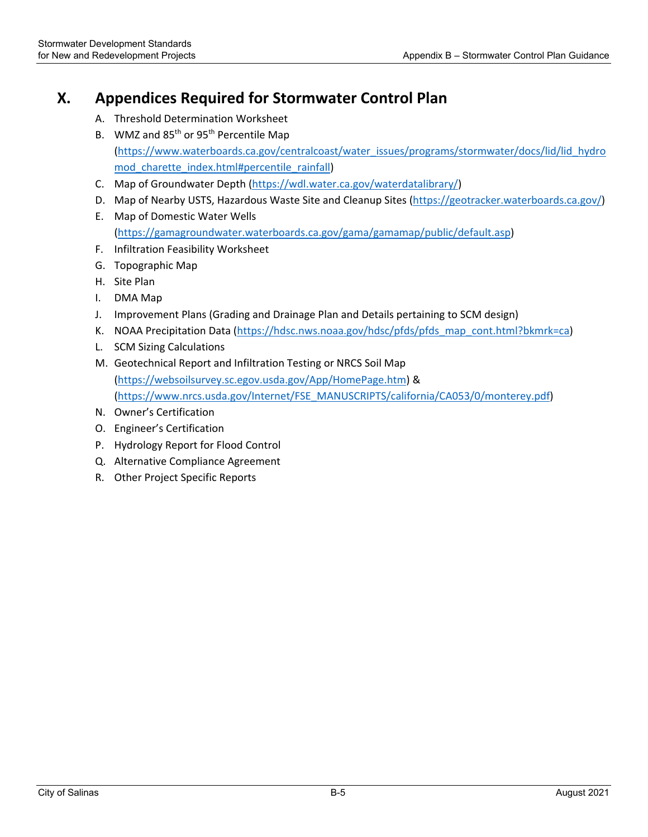### **X. Appendices Required for Stormwater Control Plan**

- A. Threshold Determination Worksheet
- B. WMZ and 85<sup>th</sup> or 95<sup>th</sup> Percentile Map (https://www.waterboards.ca.gov/centralcoast/water\_issues/programs/stormwater/docs/lid/lid\_hydro mod charette index.html#percentile rainfall)
- C. Map of Groundwater Depth (https://wdl.water.ca.gov/waterdatalibrary/)
- D. Map of Nearby USTS, Hazardous Waste Site and Cleanup Sites (https://geotracker.waterboards.ca.gov/)
- E. Map of Domestic Water Wells (https://gamagroundwater.waterboards.ca.gov/gama/gamamap/public/default.asp)
- F. Infiltration Feasibility Worksheet
- G. Topographic Map
- H. Site Plan
- I. DMA Map
- J. Improvement Plans (Grading and Drainage Plan and Details pertaining to SCM design)
- K. NOAA Precipitation Data (https://hdsc.nws.noaa.gov/hdsc/pfds/pfds\_map\_cont.html?bkmrk=ca)
- L. SCM Sizing Calculations
- M. Geotechnical Report and Infiltration Testing or NRCS Soil Map (https://websoilsurvey.sc.egov.usda.gov/App/HomePage.htm) & (https://www.nrcs.usda.gov/Internet/FSE\_MANUSCRIPTS/california/CA053/0/monterey.pdf)
- N. Owner's Certification
- O. Engineer's Certification
- P. Hydrology Report for Flood Control
- Q. Alternative Compliance Agreement
- R. Other Project Specific Reports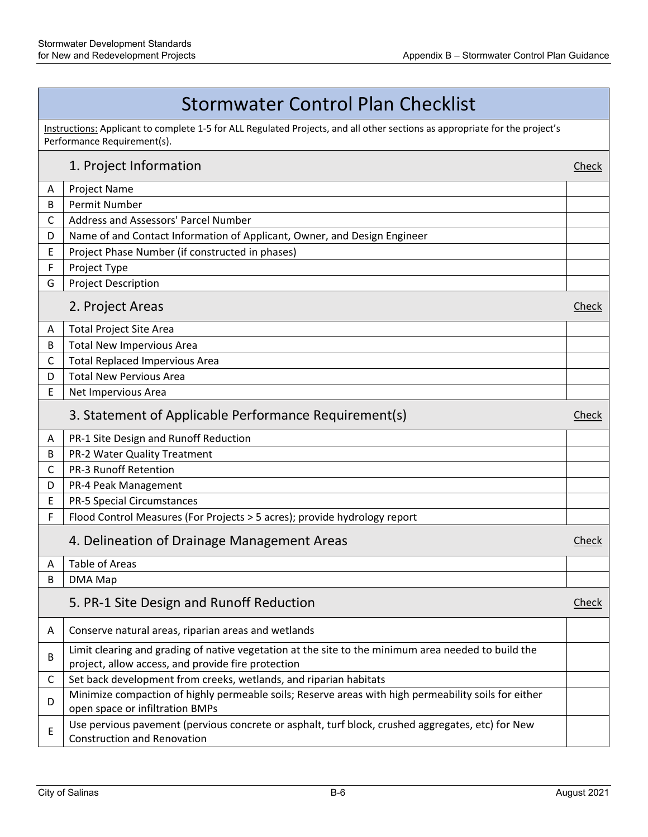## Stormwater Control Plan Checklist

Instructions: Applicant to complete 1-5 for ALL Regulated Projects, and all other sections as appropriate for the project's<br>Performance Requirement(s).

### **1. Project Information Check** A Project Name B Permit Number C | Address and Assessors' Parcel Number D | Name of and Contact Information of Applicant, Owner, and Design Engineer  $E$  | Project Phase Number (if constructed in phases) F Project Type G | Project Description 2. Project Areas **Check** A | Total Project Site Area B | Total New Impervious Area C | Total Replaced Impervious Area D | Total New Pervious Area E | Net Impervious Area 3. Statement of Applicable Performance Requirement(s) Statement Check A | PR-1 Site Design and Runoff Reduction B | PR-2 Water Quality Treatment C PR-3 Runoff Retention D | PR-4 Peak Management E | PR-5 Special Circumstances  $F \mid$  Flood Control Measures (For Projects > 5 acres); provide hydrology report 4. Delineation of Drainage Management Areas **Check Check** A Table of Areas Article is a state of Areas Article in the state of Article in the state of Areas Article in the state of Article in the state of Article in the state of Article in the state of Article in the state of Art B DMA Map 5. PR-1 Site Design and Runoff Reduction **Check Check** A | Conserve natural areas, riparian areas and wetlands B Limit clearing and grading of native vegetation at the site to the minimum area needed to build the project, allow access, and provide fire protection  $C \mid$  Set back development from creeks, wetlands, and riparian habitats  $D$  Minimize compaction of highly permeable soils; Reserve areas with high permeability soils for either open space or infiltration BMPs  $E \left[$  Use pervious pavement (pervious concrete or asphalt, turf block, crushed aggregates, etc) for New  $\left[$  Construction and Renovation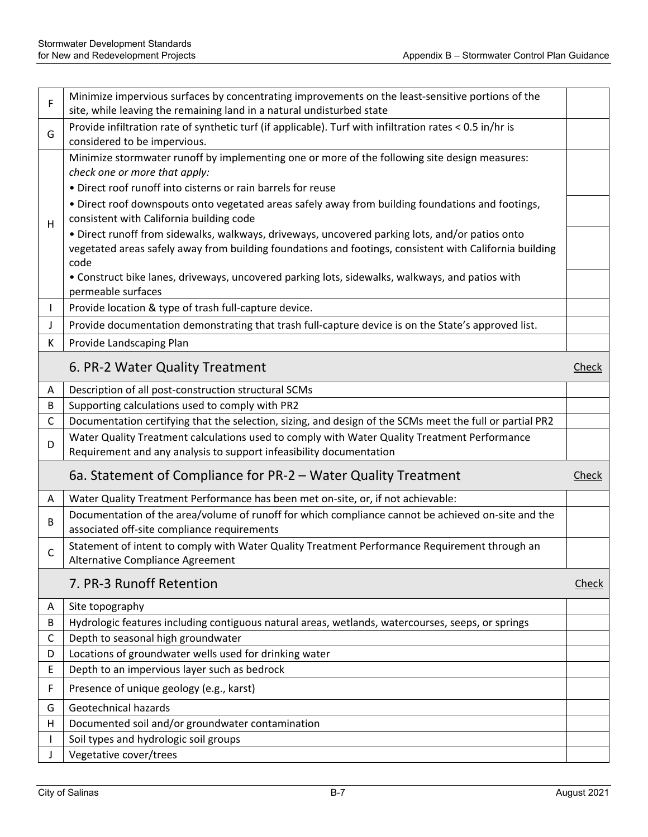| F            | Minimize impervious surfaces by concentrating improvements on the least-sensitive portions of the<br>site, while leaving the remaining land in a natural undisturbed state                                         |              |
|--------------|--------------------------------------------------------------------------------------------------------------------------------------------------------------------------------------------------------------------|--------------|
| G            | Provide infiltration rate of synthetic turf (if applicable). Turf with infiltration rates < 0.5 in/hr is<br>considered to be impervious.                                                                           |              |
|              | Minimize stormwater runoff by implementing one or more of the following site design measures:<br>check one or more that apply:<br>• Direct roof runoff into cisterns or rain barrels for reuse                     |              |
| н            | . Direct roof downspouts onto vegetated areas safely away from building foundations and footings,<br>consistent with California building code                                                                      |              |
|              | . Direct runoff from sidewalks, walkways, driveways, uncovered parking lots, and/or patios onto<br>vegetated areas safely away from building foundations and footings, consistent with California building<br>code |              |
|              | • Construct bike lanes, driveways, uncovered parking lots, sidewalks, walkways, and patios with<br>permeable surfaces                                                                                              |              |
| L            | Provide location & type of trash full-capture device.                                                                                                                                                              |              |
| J            | Provide documentation demonstrating that trash full-capture device is on the State's approved list.                                                                                                                |              |
| K            | Provide Landscaping Plan                                                                                                                                                                                           |              |
|              | 6. PR-2 Water Quality Treatment                                                                                                                                                                                    | <b>Check</b> |
| A            | Description of all post-construction structural SCMs                                                                                                                                                               |              |
| B            | Supporting calculations used to comply with PR2                                                                                                                                                                    |              |
| C            | Documentation certifying that the selection, sizing, and design of the SCMs meet the full or partial PR2                                                                                                           |              |
| D            | Water Quality Treatment calculations used to comply with Water Quality Treatment Performance<br>Requirement and any analysis to support infeasibility documentation                                                |              |
|              | 6a. Statement of Compliance for PR-2 - Water Quality Treatment                                                                                                                                                     | Check        |
| A            | Water Quality Treatment Performance has been met on-site, or, if not achievable:                                                                                                                                   |              |
| B            | Documentation of the area/volume of runoff for which compliance cannot be achieved on-site and the<br>associated off-site compliance requirements                                                                  |              |
| $\mathsf{C}$ | Statement of intent to comply with Water Quality Treatment Performance Requirement through an<br>Alternative Compliance Agreement                                                                                  |              |
|              | 7. PR-3 Runoff Retention                                                                                                                                                                                           | Check        |
| Α            | Site topography                                                                                                                                                                                                    |              |
| B            | Hydrologic features including contiguous natural areas, wetlands, watercourses, seeps, or springs                                                                                                                  |              |
| C            | Depth to seasonal high groundwater                                                                                                                                                                                 |              |
| D            | Locations of groundwater wells used for drinking water                                                                                                                                                             |              |
| E            | Depth to an impervious layer such as bedrock                                                                                                                                                                       |              |
| F            | Presence of unique geology (e.g., karst)                                                                                                                                                                           |              |
| G            | Geotechnical hazards                                                                                                                                                                                               |              |
| н            | Documented soil and/or groundwater contamination                                                                                                                                                                   |              |
|              | Soil types and hydrologic soil groups                                                                                                                                                                              |              |
|              | Vegetative cover/trees                                                                                                                                                                                             |              |
|              |                                                                                                                                                                                                                    |              |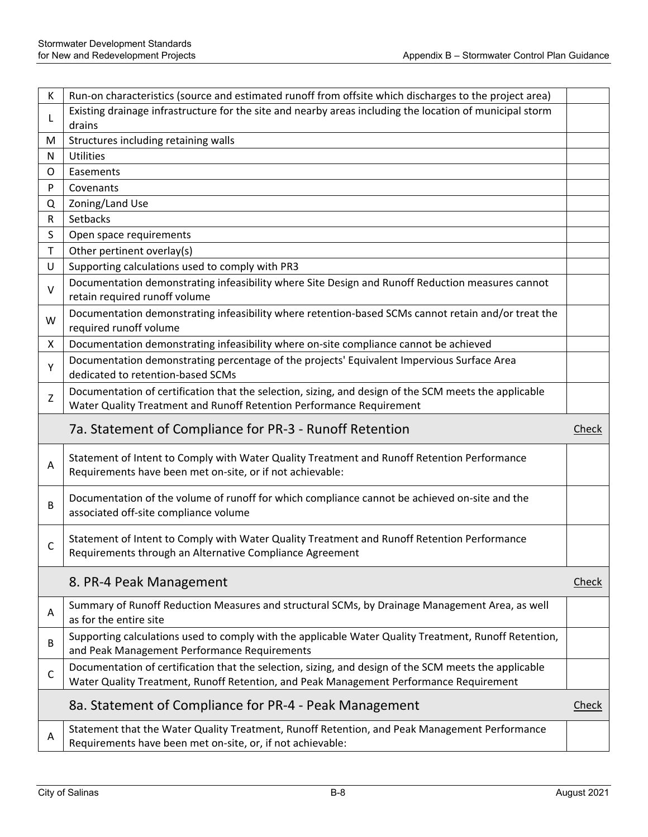| К           | Run-on characteristics (source and estimated runoff from offsite which discharges to the project area)                                                                                          |       |
|-------------|-------------------------------------------------------------------------------------------------------------------------------------------------------------------------------------------------|-------|
| L           | Existing drainage infrastructure for the site and nearby areas including the location of municipal storm<br>drains                                                                              |       |
| M           | Structures including retaining walls                                                                                                                                                            |       |
| N           | Utilities                                                                                                                                                                                       |       |
| $\circ$     | Easements                                                                                                                                                                                       |       |
| P           | Covenants                                                                                                                                                                                       |       |
| Q           | Zoning/Land Use                                                                                                                                                                                 |       |
| R           | Setbacks                                                                                                                                                                                        |       |
| S           | Open space requirements                                                                                                                                                                         |       |
| $\mathsf T$ | Other pertinent overlay(s)                                                                                                                                                                      |       |
| U           | Supporting calculations used to comply with PR3                                                                                                                                                 |       |
| V           | Documentation demonstrating infeasibility where Site Design and Runoff Reduction measures cannot<br>retain required runoff volume                                                               |       |
| W           | Documentation demonstrating infeasibility where retention-based SCMs cannot retain and/or treat the<br>required runoff volume                                                                   |       |
| X           | Documentation demonstrating infeasibility where on-site compliance cannot be achieved                                                                                                           |       |
| Y           | Documentation demonstrating percentage of the projects' Equivalent Impervious Surface Area<br>dedicated to retention-based SCMs                                                                 |       |
| Z           | Documentation of certification that the selection, sizing, and design of the SCM meets the applicable<br>Water Quality Treatment and Runoff Retention Performance Requirement                   |       |
|             |                                                                                                                                                                                                 |       |
|             | 7a. Statement of Compliance for PR-3 - Runoff Retention                                                                                                                                         | Check |
| A           | Statement of Intent to Comply with Water Quality Treatment and Runoff Retention Performance<br>Requirements have been met on-site, or if not achievable:                                        |       |
| В           | Documentation of the volume of runoff for which compliance cannot be achieved on-site and the<br>associated off-site compliance volume                                                          |       |
| C           | Statement of Intent to Comply with Water Quality Treatment and Runoff Retention Performance<br>Requirements through an Alternative Compliance Agreement                                         |       |
|             | 8. PR-4 Peak Management                                                                                                                                                                         | Check |
| A           | Summary of Runoff Reduction Measures and structural SCMs, by Drainage Management Area, as well<br>as for the entire site                                                                        |       |
| B           | Supporting calculations used to comply with the applicable Water Quality Treatment, Runoff Retention,<br>and Peak Management Performance Requirements                                           |       |
| $\mathsf C$ | Documentation of certification that the selection, sizing, and design of the SCM meets the applicable<br>Water Quality Treatment, Runoff Retention, and Peak Management Performance Requirement |       |
|             | 8a. Statement of Compliance for PR-4 - Peak Management                                                                                                                                          | Check |